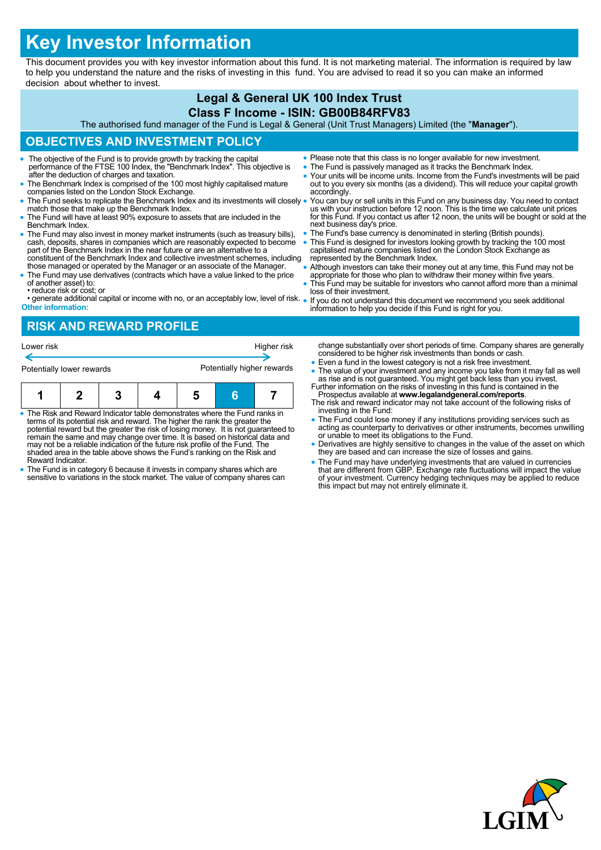# **Key Investor Information**

This document provides you with key investor information about this fund. It is not marketing material. The information is required by law to help you understand the nature and the risks of investing in this fund. You are advised to read it so you can make an informed decision about whether to invest.

#### **Legal & General UK 100 Index Trust Class F Income - ISIN: GB00B84RFV83** The authorised fund manager of the Fund is Legal & General (Unit Trust Managers) Limited (the "**Manager**"). **OBJECTIVES AND INVESTMENT POLICY** The objective of the Fund is to provide growth by tracking the capital performance of the FTSE 100 Index, the "Benchmark Index". This objective is after the deduction of charges and taxation. The Benchmark Index is comprised of the 100 most highly capitalised mature companies listed on the London Stock Exchange. The Fund seeks to replicate the Benchmark Index and its investments will closely match those that make up the Benchmark Index. The Fund will have at least 90% exposure to assets that are included in the Benchmark Index. The Fund may also invest in money market instruments (such as treasury bills), cash, deposits, shares in companies which are reasonably expected to become part of the Benchmark Index in the near future or are an alternative to a constituent of the Benchmark Index and collective investment schemes, including those managed or operated by the Manager or an associate of the Manager. The Fund may use derivatives (contracts which have a value linked to the price of another asset) to: • reduce risk or cost; or • generate additional capital or income with no, or an acceptably low, level of risk. **Other information:** Please note that this class is no longer available for new investment. The Fund is passively managed as it tracks the Benchmark Index. Your units will be income units. Income from the Fund's investments will be paid out to you every six months (as a dividend). This will reduce your capital growth accordingly. You can buy or sell units in this Fund on any business day. You need to contact us with your instruction before 12 noon. This is the time we calculate unit prices for this Fund. If you contact us after 12 noon, the units will be bought or sold at the next business day's price. The Fund's base currency is denominated in sterling (British pounds). This Fund is designed for investors looking growth by tracking the 100 most capitalised mature companies listed on the London Stock Exchange as represented by the Benchmark Index. Although investors can take their money out at any time, this Fund may not be appropriate for those who plan to withdraw their money within five years. This Fund may be suitable for investors who cannot afford more than a minimal loss of their investment. If you do not understand this document we recommend you seek additional information to help you decide if this Fund is right for you. **RISK AND REWARD PROFILE**

| Lower risk | Higher risk |
|------------|-------------|
|            |             |

| Potentially lower rewards |  |  | Potentially higher rewards |  |  |  |
|---------------------------|--|--|----------------------------|--|--|--|
|                           |  |  |                            |  |  |  |

- The Risk and Reward Indicator table demonstrates where the Fund ranks in terms of its potential risk and reward. The higher the rank the greater the potential reward but the greater the risk of losing money. It is not guaranteed to<br>remain the same and may change over time. It is based on historical data and<br>may not be a reliable indication of the future risk profile of shaded area in the table above shows the Fund's ranking on the Risk and Reward Indicator.
- The Fund is in category 6 because it invests in company shares which are sensitive to variations in the stock market. The value of company shares can
- change substantially over short periods of time. Company shares are generally considered to be higher risk investments than bonds or cash.
- Even a fund in the lowest category is not a risk free investment.
- The value of your investment and any income you take from it may fall as well as rise and is not guaranteed. You might get back less than you invest.
- Further information on the risks of investing in this fund is contained in the Prospectus available at **www.legalandgeneral.com/reports**. The risk and reward indicator may not take account of the following risks of investing in the Fund:
- The Fund could lose money if any institutions providing services such as acting as counterparty to derivatives or other instruments, becomes unwilling or unable to meet its obligations to the Fund.
- Derivatives are highly sensitive to changes in the value of the asset on which they are based and can increase the size of losses and gains.
- The Fund may have underlying investments that are valued in currencies that are different from GBP. Exchange rate fluctuations will impact the value of your investment. Currency hedging techniques may be applied to reduce this impact but may not entirely eliminate it.